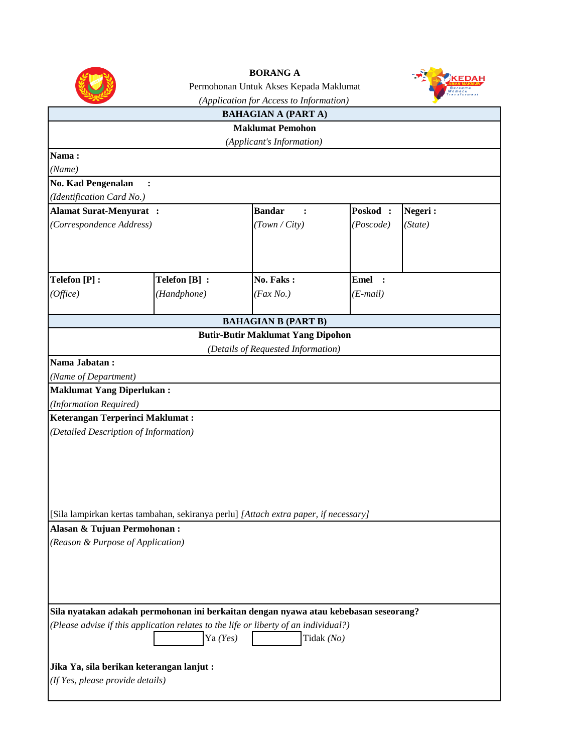

**BORANG A**



|                                        |                                                                                      | (Application for Access to Information)  |             | <b>Transformasi</b> |
|----------------------------------------|--------------------------------------------------------------------------------------|------------------------------------------|-------------|---------------------|
|                                        |                                                                                      | <b>BAHAGIAN A (PART A)</b>               |             |                     |
|                                        |                                                                                      | <b>Maklumat Pemohon</b>                  |             |                     |
|                                        |                                                                                      | (Applicant's Information)                |             |                     |
| Nama:                                  |                                                                                      |                                          |             |                     |
| (Name)                                 |                                                                                      |                                          |             |                     |
| <b>No. Kad Pengenalan</b>              | $\ddot{\phantom{a}}$                                                                 |                                          |             |                     |
| (Identification Card No.)              |                                                                                      |                                          |             |                     |
| <b>Alamat Surat-Menyurat:</b>          |                                                                                      | <b>Bandar</b><br>$\ddot{\cdot}$          | Poskod:     | Negeri:             |
|                                        | (Correspondence Address)                                                             |                                          | (Poscode)   | (State)             |
|                                        |                                                                                      |                                          |             |                     |
|                                        |                                                                                      |                                          |             |                     |
| Telefon [P] :                          | Telefon [B] :                                                                        | No. Faks:                                | <b>Emel</b> |                     |
| (Office)                               | (Handphone)                                                                          | $(Fax\,No.)$                             | $(E-mail)$  |                     |
|                                        |                                                                                      |                                          |             |                     |
|                                        |                                                                                      | <b>BAHAGIAN B (PART B)</b>               |             |                     |
|                                        |                                                                                      | <b>Butir-Butir Maklumat Yang Dipohon</b> |             |                     |
|                                        |                                                                                      | (Details of Requested Information)       |             |                     |
| Nama Jabatan:                          |                                                                                      |                                          |             |                     |
| (Name of Department)                   |                                                                                      |                                          |             |                     |
| <b>Maklumat Yang Diperlukan:</b>       |                                                                                      |                                          |             |                     |
| (Information Required)                 |                                                                                      |                                          |             |                     |
| <b>Keterangan Terperinci Maklumat:</b> |                                                                                      |                                          |             |                     |
| (Detailed Description of Information)  |                                                                                      |                                          |             |                     |
|                                        |                                                                                      |                                          |             |                     |
|                                        |                                                                                      |                                          |             |                     |
|                                        |                                                                                      |                                          |             |                     |
|                                        |                                                                                      |                                          |             |                     |
|                                        |                                                                                      |                                          |             |                     |
|                                        | [Sila lampirkan kertas tambahan, sekiranya perlu] [Attach extra paper, if necessary] |                                          |             |                     |
| Alasan & Tujuan Permohonan:            |                                                                                      |                                          |             |                     |
| (Reason & Purpose of Application)      |                                                                                      |                                          |             |                     |
|                                        |                                                                                      |                                          |             |                     |
|                                        |                                                                                      |                                          |             |                     |
|                                        |                                                                                      |                                          |             |                     |
|                                        |                                                                                      |                                          |             |                     |
|                                        | Sila nyatakan adakah permohonan ini berkaitan dengan nyawa atau kebebasan seseorang? |                                          |             |                     |
|                                        | (Please advise if this application relates to the life or liberty of an individual?) |                                          |             |                     |
|                                        | Ya $(Yes)$                                                                           | Tidak (No)                               |             |                     |
|                                        |                                                                                      |                                          |             |                     |
|                                        | Jika Ya, sila berikan keterangan lanjut:                                             |                                          |             |                     |
| (If Yes, please provide details)       |                                                                                      |                                          |             |                     |
|                                        |                                                                                      |                                          |             |                     |